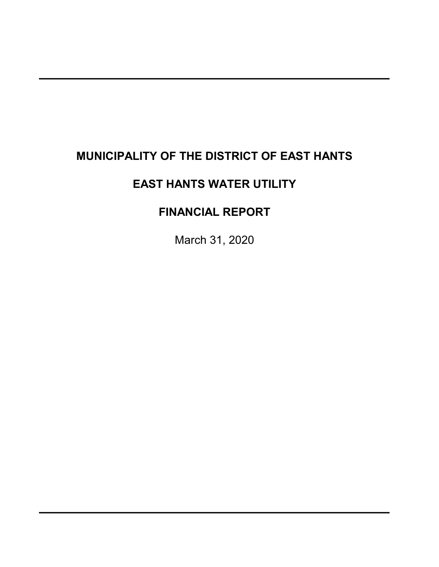### MUNICIPALITY OF THE DISTRICT OF EAST HANTS

### EAST HANTS WATER UTILITY

### FINANCIAL REPORT

March 31, 2020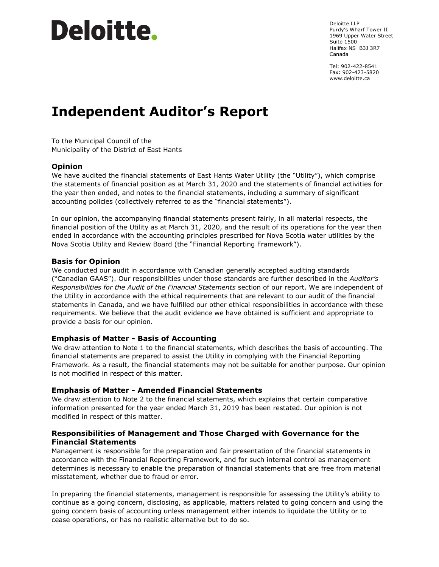# Deloitte.

Deloitte LLP Purdy's Wharf Tower II 1969 Upper Water Street Suite 1500 Halifax NS B3J 3R7 Canada

Tel: 902-422-8541 Fax: 902-423-5820 www.deloitte.ca

## **Independent Auditor's Report**

To the Municipal Council of the Municipality of the District of East Hants

#### **Opinion**

We have audited the financial statements of East Hants Water Utility (the "Utility"), which comprise the statements of financial position as at March 31, 2020 and the statements of financial activities for the year then ended, and notes to the financial statements, including a summary of significant accounting policies (collectively referred to as the "financial statements").

In our opinion, the accompanying financial statements present fairly, in all material respects, the financial position of the Utility as at March 31, 2020, and the result of its operations for the year then ended in accordance with the accounting principles prescribed for Nova Scotia water utilities by the Nova Scotia Utility and Review Board (the "Financial Reporting Framework").

#### **Basis for Opinion**

We conducted our audit in accordance with Canadian generally accepted auditing standards ("Canadian GAAS"). Our responsibilities under those standards are further described in the *Auditor's Responsibilities for the Audit of the Financial Statements* section of our report. We are independent of the Utility in accordance with the ethical requirements that are relevant to our audit of the financial statements in Canada, and we have fulfilled our other ethical responsibilities in accordance with these requirements. We believe that the audit evidence we have obtained is sufficient and appropriate to provide a basis for our opinion.

#### **Emphasis of Matter - Basis of Accounting**

We draw attention to Note 1 to the financial statements, which describes the basis of accounting. The financial statements are prepared to assist the Utility in complying with the Financial Reporting Framework. As a result, the financial statements may not be suitable for another purpose. Our opinion is not modified in respect of this matter.

#### **Emphasis of Matter - Amended Financial Statements**

We draw attention to Note 2 to the financial statements, which explains that certain comparative information presented for the year ended March 31, 2019 has been restated. Our opinion is not modified in respect of this matter.

#### **Responsibilities of Management and Those Charged with Governance for the Financial Statements**

Management is responsible for the preparation and fair presentation of the financial statements in accordance with the Financial Reporting Framework, and for such internal control as management determines is necessary to enable the preparation of financial statements that are free from material misstatement, whether due to fraud or error.

In preparing the financial statements, management is responsible for assessing the Utility's ability to continue as a going concern, disclosing, as applicable, matters related to going concern and using the going concern basis of accounting unless management either intends to liquidate the Utility or to cease operations, or has no realistic alternative but to do so.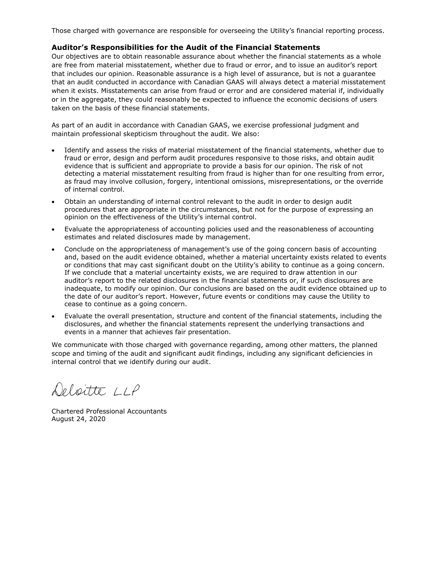Those charged with governance are responsible for overseeing the Utility's financial reporting process.

#### **Auditor's Responsibilities for the Audit of the Financial Statements**

Our objectives are to obtain reasonable assurance about whether the financial statements as a whole are free from material misstatement, whether due to fraud or error, and to issue an auditor's report that includes our opinion. Reasonable assurance is a high level of assurance, but is not a guarantee that an audit conducted in accordance with Canadian GAAS will always detect a material misstatement when it exists. Misstatements can arise from fraud or error and are considered material if, individually or in the aggregate, they could reasonably be expected to influence the economic decisions of users taken on the basis of these financial statements.

As part of an audit in accordance with Canadian GAAS, we exercise professional judgment and maintain professional skepticism throughout the audit. We also:

- Identify and assess the risks of material misstatement of the financial statements, whether due to fraud or error, design and perform audit procedures responsive to those risks, and obtain audit evidence that is sufficient and appropriate to provide a basis for our opinion. The risk of not detecting a material misstatement resulting from fraud is higher than for one resulting from error, as fraud may involve collusion, forgery, intentional omissions, misrepresentations, or the override of internal control.
- Obtain an understanding of internal control relevant to the audit in order to design audit procedures that are appropriate in the circumstances, but not for the purpose of expressing an opinion on the effectiveness of the Utility's internal control.
- Evaluate the appropriateness of accounting policies used and the reasonableness of accounting estimates and related disclosures made by management.
- Conclude on the appropriateness of management's use of the going concern basis of accounting and, based on the audit evidence obtained, whether a material uncertainty exists related to events or conditions that may cast significant doubt on the Utility's ability to continue as a going concern. If we conclude that a material uncertainty exists, we are required to draw attention in our auditor's report to the related disclosures in the financial statements or, if such disclosures are inadequate, to modify our opinion. Our conclusions are based on the audit evidence obtained up to the date of our auditor's report. However, future events or conditions may cause the Utility to cease to continue as a going concern.
- Evaluate the overall presentation, structure and content of the financial statements, including the disclosures, and whether the financial statements represent the underlying transactions and events in a manner that achieves fair presentation.

We communicate with those charged with governance regarding, among other matters, the planned scope and timing of the audit and significant audit findings, including any significant deficiencies in internal control that we identify during our audit.

Deloitte LIP

Chartered Professional Accountants August 24, 2020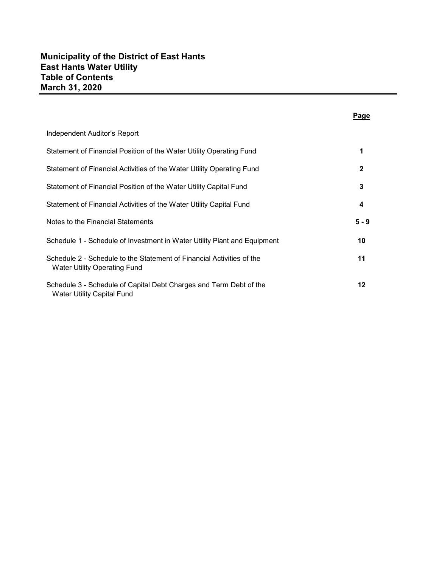|                                                                                                              | Page         |
|--------------------------------------------------------------------------------------------------------------|--------------|
| Independent Auditor's Report                                                                                 |              |
| Statement of Financial Position of the Water Utility Operating Fund                                          | 1            |
| Statement of Financial Activities of the Water Utility Operating Fund                                        | $\mathbf{2}$ |
| Statement of Financial Position of the Water Utility Capital Fund                                            | 3            |
| Statement of Financial Activities of the Water Utility Capital Fund                                          | 4            |
| Notes to the Financial Statements                                                                            | $5 - 9$      |
| Schedule 1 - Schedule of Investment in Water Utility Plant and Equipment                                     | 10           |
| Schedule 2 - Schedule to the Statement of Financial Activities of the<br><b>Water Utility Operating Fund</b> | 11           |
| Schedule 3 - Schedule of Capital Debt Charges and Term Debt of the<br><b>Water Utility Capital Fund</b>      | 12           |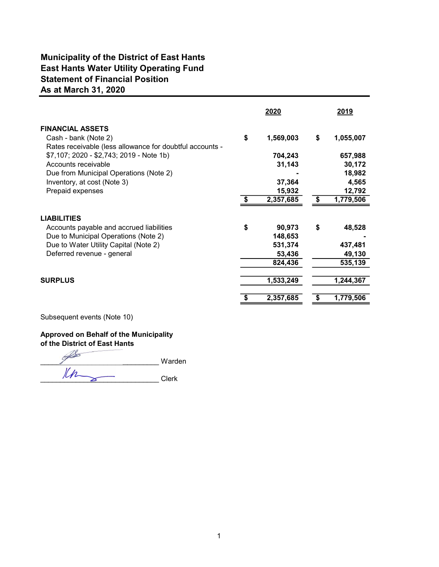### Municipality of the District of East Hants East Hants Water Utility Operating Fund Statement of Financial Position As at March 31, 2020

|                                                          | 2020            |    | 2019      |
|----------------------------------------------------------|-----------------|----|-----------|
| <b>FINANCIAL ASSETS</b><br>Cash - bank (Note 2)          | \$<br>1,569,003 | \$ | 1,055,007 |
| Rates receivable (less allowance for doubtful accounts - |                 |    |           |
| \$7,107; 2020 - \$2,743; 2019 - Note 1b)                 | 704,243         |    | 657,988   |
| Accounts receivable                                      | 31,143          |    | 30,172    |
| Due from Municipal Operations (Note 2)                   |                 |    | 18,982    |
| Inventory, at cost (Note 3)                              | 37,364          |    | 4,565     |
| Prepaid expenses                                         | 15,932          |    | 12,792    |
|                                                          | 2,357,685       | S  | 1,779,506 |
| <b>LIABILITIES</b>                                       |                 |    |           |
| Accounts payable and accrued liabilities                 | \$<br>90,973    | \$ | 48,528    |
| Due to Municipal Operations (Note 2)                     | 148,653         |    |           |
| Due to Water Utility Capital (Note 2)                    | 531,374         |    | 437,481   |
| Deferred revenue - general                               | 53,436          |    | 49,130    |
|                                                          | 824,436         |    | 535,139   |
| <b>SURPLUS</b>                                           | 1,533,249       |    | 1,244,367 |
|                                                          | 2,357,685       |    | 1,779,506 |

Subsequent events (Note 10)

## Approved on Behalf of the Municipality

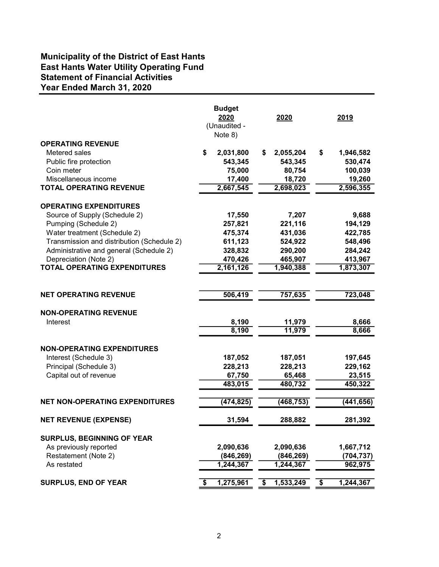### Municipality of the District of East Hants East Hants Water Utility Operating Fund Year Ended March 31, 2020 Statement of Financial Activities

|                                            | <b>Budget</b><br>2020<br>(Unaudited -<br>Note 8) |                 | 2020       |                 | 2019       |
|--------------------------------------------|--------------------------------------------------|-----------------|------------|-----------------|------------|
| <b>OPERATING REVENUE</b><br>Metered sales  | \$<br>2,031,800                                  | \$              | 2,055,204  | \$              | 1,946,582  |
| Public fire protection                     | 543,345                                          |                 | 543,345    |                 | 530,474    |
| Coin meter                                 | 75,000                                           |                 | 80,754     |                 | 100,039    |
| Miscellaneous income                       | 17,400                                           |                 | 18,720     |                 | 19,260     |
| <b>TOTAL OPERATING REVENUE</b>             | 2,667,545                                        |                 | 2,698,023  |                 | 2,596,355  |
| <b>OPERATING EXPENDITURES</b>              |                                                  |                 |            |                 |            |
| Source of Supply (Schedule 2)              | 17,550                                           |                 | 7,207      |                 | 9,688      |
| Pumping (Schedule 2)                       | 257,821                                          |                 | 221,116    |                 | 194,129    |
| Water treatment (Schedule 2)               | 475,374                                          |                 | 431,036    |                 | 422,785    |
| Transmission and distribution (Schedule 2) | 611,123                                          |                 | 524,922    |                 | 548,496    |
| Administrative and general (Schedule 2)    | 328,832                                          |                 | 290,200    |                 | 284,242    |
| Depreciation (Note 2)                      | 470,426                                          |                 | 465,907    |                 | 413,967    |
| <b>TOTAL OPERATING EXPENDITURES</b>        | 2,161,126                                        |                 | 1,940,388  |                 | 1,873,307  |
| <b>NET OPERATING REVENUE</b>               | 506,419                                          |                 | 757,635    |                 | 723,048    |
| <b>NON-OPERATING REVENUE</b>               |                                                  |                 |            |                 |            |
| Interest                                   | 8,190                                            |                 | 11,979     |                 | 8,666      |
|                                            | 8,190                                            |                 | 11,979     |                 | 8,666      |
| <b>NON-OPERATING EXPENDITURES</b>          |                                                  |                 |            |                 |            |
| Interest (Schedule 3)                      | 187,052                                          |                 | 187,051    |                 | 197,645    |
| Principal (Schedule 3)                     | 228,213                                          |                 | 228,213    |                 | 229,162    |
| Capital out of revenue                     | 67,750                                           |                 | 65,468     |                 | 23,515     |
|                                            | 483,015                                          |                 | 480,732    |                 | 450,322    |
| <b>NET NON-OPERATING EXPENDITURES</b>      | (474, 825)                                       |                 | (468, 753) |                 | (441, 656) |
| <b>NET REVENUE (EXPENSE)</b>               | 31,594                                           |                 | 288,882    |                 | 281,392    |
| <b>SURPLUS, BEGINNING OF YEAR</b>          |                                                  |                 |            |                 |            |
| As previously reported                     | 2,090,636                                        |                 | 2,090,636  |                 | 1,667,712  |
| Restatement (Note 2)                       | (846, 269)                                       |                 | (846, 269) |                 | (704, 737) |
| As restated                                | 1,244,367                                        |                 | 1,244,367  |                 | 962,975    |
| <b>SURPLUS, END OF YEAR</b>                | \$<br>1,275,961                                  | $\overline{\$}$ | 1,533,249  | $\overline{\$}$ | 1,244,367  |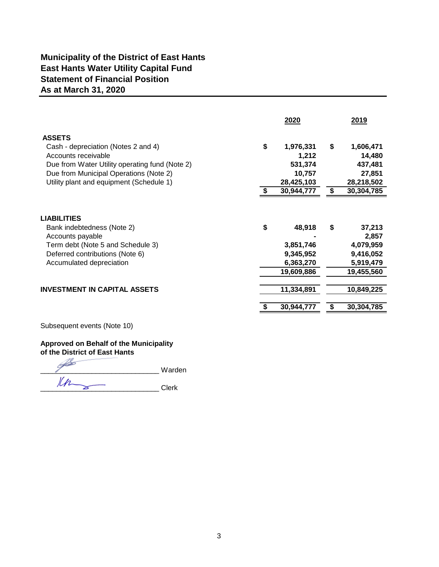### **Municipality of the District of East Hants East Hants Water Utility Capital Fund As at March 31, 2020 Statement of Financial Position**

|                                                                                                                                                                          | 2020                                                              |    | 2019                                                                 |
|--------------------------------------------------------------------------------------------------------------------------------------------------------------------------|-------------------------------------------------------------------|----|----------------------------------------------------------------------|
| <b>ASSETS</b>                                                                                                                                                            |                                                                   |    |                                                                      |
| Cash - depreciation (Notes 2 and 4)                                                                                                                                      | \$<br>1,976,331                                                   | S. | 1,606,471                                                            |
| Accounts receivable                                                                                                                                                      | 1,212                                                             |    | 14,480                                                               |
| Due from Water Utility operating fund (Note 2)                                                                                                                           | 531,374                                                           |    | 437,481                                                              |
| Due from Municipal Operations (Note 2)                                                                                                                                   | 10,757                                                            |    | 27,851                                                               |
| Utility plant and equipment (Schedule 1)                                                                                                                                 | 28,425,103                                                        |    | 28,218,502                                                           |
|                                                                                                                                                                          | 30,944,777                                                        | \$ | 30,304,785                                                           |
| <b>LIABILITIES</b><br>Bank indebtedness (Note 2)<br>Accounts payable<br>Term debt (Note 5 and Schedule 3)<br>Deferred contributions (Note 6)<br>Accumulated depreciation | \$<br>48,918<br>3,851,746<br>9,345,952<br>6,363,270<br>19,609,886 | \$ | 37,213<br>2,857<br>4,079,959<br>9,416,052<br>5,919,479<br>19,455,560 |
| <b>INVESTMENT IN CAPITAL ASSETS</b>                                                                                                                                      | 11,334,891<br>30,944,777                                          | S  | 10,849,225<br>30,304,785                                             |
|                                                                                                                                                                          |                                                                   |    |                                                                      |

Subsequent events (Note 10)

## **Approved on Behalf of the Municipality**

**of the District of East Hants**  $\frac{1}{100}$  Warden \_\_\_\_\_\_\_\_\_\_\_\_\_\_\_\_\_\_\_\_\_\_\_\_\_\_\_\_\_\_ Clerk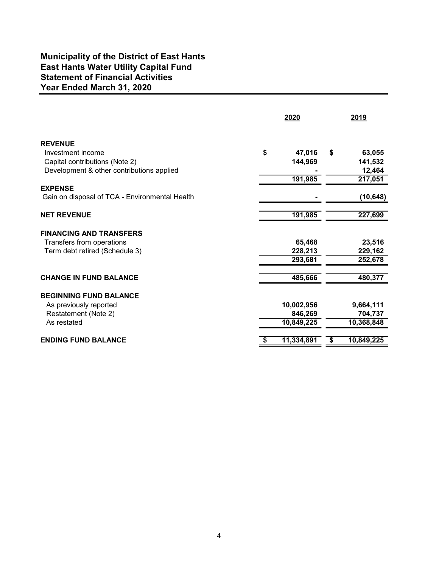### Municipality of the District of East Hants East Hants Water Utility Capital Fund Year Ended March 31, 2020 Statement of Financial Activities

|                                                | 2020             | 2019             |
|------------------------------------------------|------------------|------------------|
| <b>REVENUE</b>                                 |                  |                  |
| Investment income                              | \$<br>47,016     | \$<br>63,055     |
| Capital contributions (Note 2)                 | 144,969          | 141,532          |
| Development & other contributions applied      |                  | 12,464           |
|                                                | 191,985          | 217,051          |
| <b>EXPENSE</b>                                 |                  |                  |
| Gain on disposal of TCA - Environmental Health |                  | (10, 648)        |
| <b>NET REVENUE</b>                             | 191,985          | 227,699          |
| <b>FINANCING AND TRANSFERS</b>                 |                  |                  |
| Transfers from operations                      | 65,468           | 23,516           |
| Term debt retired (Schedule 3)                 | 228,213          | 229,162          |
|                                                | 293,681          | 252,678          |
| <b>CHANGE IN FUND BALANCE</b>                  | 485,666          | 480,377          |
| <b>BEGINNING FUND BALANCE</b>                  |                  |                  |
| As previously reported                         | 10,002,956       | 9,664,111        |
| Restatement (Note 2)                           | 846,269          | 704,737          |
| As restated                                    | 10,849,225       | 10,368,848       |
|                                                |                  |                  |
| <b>ENDING FUND BALANCE</b>                     | \$<br>11,334,891 | \$<br>10,849,225 |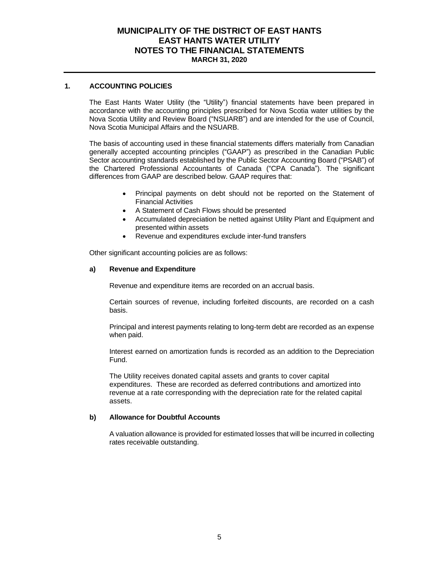#### **1. ACCOUNTING POLICIES**

The East Hants Water Utility (the "Utility") financial statements have been prepared in accordance with the accounting principles prescribed for Nova Scotia water utilities by the Nova Scotia Utility and Review Board ("NSUARB") and are intended for the use of Council, Nova Scotia Municipal Affairs and the NSUARB.

The basis of accounting used in these financial statements differs materially from Canadian generally accepted accounting principles ("GAAP") as prescribed in the Canadian Public Sector accounting standards established by the Public Sector Accounting Board ("PSAB") of the Chartered Professional Accountants of Canada ("CPA Canada"). The significant differences from GAAP are described below. GAAP requires that:

- Principal payments on debt should not be reported on the Statement of Financial Activities
- A Statement of Cash Flows should be presented
- Accumulated depreciation be netted against Utility Plant and Equipment and presented within assets
- Revenue and expenditures exclude inter-fund transfers

Other significant accounting policies are as follows:

#### **a) Revenue and Expenditure**

Revenue and expenditure items are recorded on an accrual basis.

Certain sources of revenue, including forfeited discounts, are recorded on a cash basis.

Principal and interest payments relating to long-term debt are recorded as an expense when paid.

Interest earned on amortization funds is recorded as an addition to the Depreciation Fund.

The Utility receives donated capital assets and grants to cover capital expenditures. These are recorded as deferred contributions and amortized into revenue at a rate corresponding with the depreciation rate for the related capital assets.

#### **b) Allowance for Doubtful Accounts**

A valuation allowance is provided for estimated losses that will be incurred in collecting rates receivable outstanding.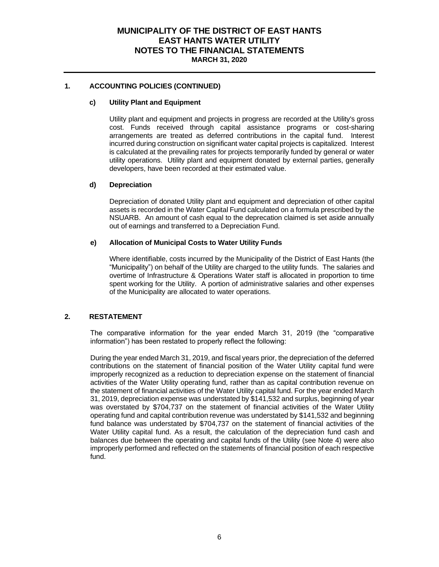#### **1. ACCOUNTING POLICIES (CONTINUED)**

#### **c) Utility Plant and Equipment**

Utility plant and equipment and projects in progress are recorded at the Utility's gross cost. Funds received through capital assistance programs or cost-sharing arrangements are treated as deferred contributions in the capital fund. Interest incurred during construction on significant water capital projects is capitalized. Interest is calculated at the prevailing rates for projects temporarily funded by general or water utility operations. Utility plant and equipment donated by external parties, generally developers, have been recorded at their estimated value.

#### **d) Depreciation**

Depreciation of donated Utility plant and equipment and depreciation of other capital assets is recorded in the Water Capital Fund calculated on a formula prescribed by the NSUARB. An amount of cash equal to the deprecation claimed is set aside annually out of earnings and transferred to a Depreciation Fund.

#### **e) Allocation of Municipal Costs to Water Utility Funds**

Where identifiable, costs incurred by the Municipality of the District of East Hants (the "Municipality") on behalf of the Utility are charged to the utility funds. The salaries and overtime of Infrastructure & Operations Water staff is allocated in proportion to time spent working for the Utility. A portion of administrative salaries and other expenses of the Municipality are allocated to water operations.

#### **2. RESTATEMENT**

The comparative information for the year ended March 31, 2019 (the "comparative information") has been restated to properly reflect the following:

During the year ended March 31, 2019, and fiscal years prior, the depreciation of the deferred contributions on the statement of financial position of the Water Utility capital fund were improperly recognized as a reduction to depreciation expense on the statement of financial activities of the Water Utility operating fund, rather than as capital contribution revenue on the statement of financial activities of the Water Utility capital fund. For the year ended March 31, 2019, depreciation expense was understated by \$141,532 and surplus, beginning of year was overstated by \$704,737 on the statement of financial activities of the Water Utility operating fund and capital contribution revenue was understated by \$141,532 and beginning fund balance was understated by \$704,737 on the statement of financial activities of the Water Utility capital fund. As a result, the calculation of the depreciation fund cash and balances due between the operating and capital funds of the Utility (see Note 4) were also improperly performed and reflected on the statements of financial position of each respective fund.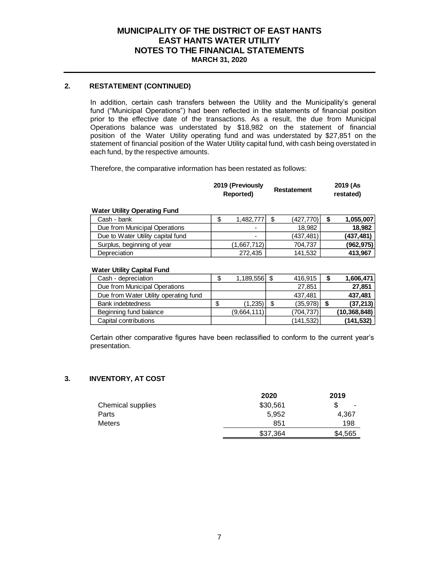#### **2. RESTATEMENT (CONTINUED)**

In addition, certain cash transfers between the Utility and the Municipality's general fund ("Municipal Operations") had been reflected in the statements of financial position prior to the effective date of the transactions. As a result, the due from Municipal Operations balance was understated by \$18,982 on the statement of financial position of the Water Utility operating fund and was understated by \$27,851 on the statement of financial position of the Water Utility capital fund, with cash being overstated in each fund, by the respective amounts.

Therefore, the comparative information has been restated as follows:

| 2019 (Previously | <b>Restatement</b> | 2019 (As  |
|------------------|--------------------|-----------|
| Reported)        |                    | restated) |

#### **Water Utility Operating Fund**

| Cash - bank                       | 1.482.777<br>ጦ<br>ง | (427.770) | 1,055,007  |
|-----------------------------------|---------------------|-----------|------------|
| Due from Municipal Operations     | -                   | 18.982    | 18,982     |
| Due to Water Utility capital fund | -                   | (437.481) | (437, 481) |
| Surplus, beginning of year        | (1,667,712)         | 704.737   | (962, 975) |
| Depreciation                      | 272,435             | 141.532   | 413,967    |

#### **Water Utility Capital Fund**

| Cash - depreciation                   | S | 1,189,556   \$ | 416,915    | 1,606,471      |
|---------------------------------------|---|----------------|------------|----------------|
| Due from Municipal Operations         |   |                | 27.851     | 27,851         |
| Due from Water Utility operating fund |   |                | 437.481    | 437,481        |
| Bank indebtedness                     |   | (1.235)        | (35, 978)  | (37, 213)      |
| Beginning fund balance                |   | (9,664,111)    | (704, 737) | (10, 368, 848) |
| Capital contributions                 |   |                | (141,532)  | (141, 532)     |

Certain other comparative figures have been reclassified to conform to the current year's presentation.

#### **3. INVENTORY, AT COST**

|                   | 2020     | 2019    |
|-------------------|----------|---------|
| Chemical supplies | \$30,561 |         |
| Parts             | 5,952    | 4,367   |
| Meters            | 851      | 198     |
|                   | \$37,364 | \$4,565 |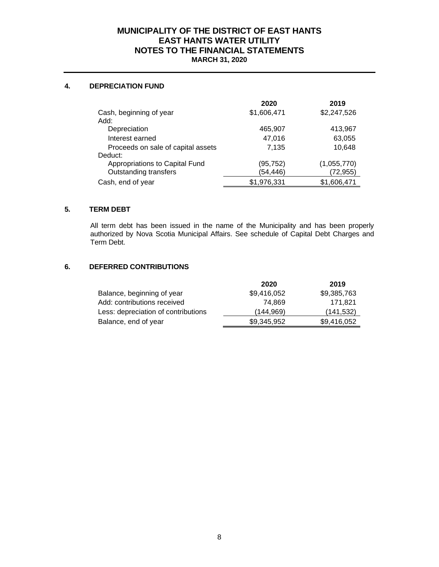#### **4. DEPRECIATION FUND**

|                                    | 2020        | 2019        |
|------------------------------------|-------------|-------------|
| Cash, beginning of year            | \$1,606,471 | \$2,247,526 |
| Add:                               |             |             |
| Depreciation                       | 465,907     | 413,967     |
| Interest earned                    | 47,016      | 63,055      |
| Proceeds on sale of capital assets | 7,135       | 10,648      |
| Deduct:                            |             |             |
| Appropriations to Capital Fund     | (95,752)    | (1,055,770) |
| <b>Outstanding transfers</b>       | (54,446)    | (72, 955)   |
| Cash, end of year                  | \$1,976,331 | \$1,606,471 |

#### **5. TERM DEBT**

All term debt has been issued in the name of the Municipality and has been properly authorized by Nova Scotia Municipal Affairs. See schedule of Capital Debt Charges and Term Debt.

#### **6. DEFERRED CONTRIBUTIONS**

|                                     | 2020        | 2019        |
|-------------------------------------|-------------|-------------|
| Balance, beginning of year          | \$9,416,052 | \$9,385,763 |
| Add: contributions received         | 74.869      | 171.821     |
| Less: depreciation of contributions | (144.969)   | (141, 532)  |
| Balance, end of year                | \$9.345.952 | \$9,416,052 |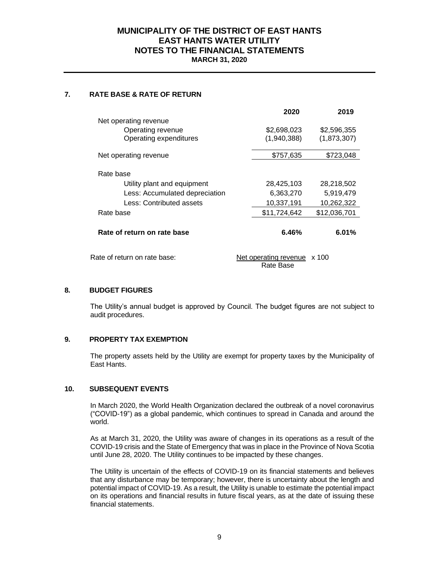#### **7. RATE BASE & RATE OF RETURN**

|                                | 2020                  | 2019         |
|--------------------------------|-----------------------|--------------|
| Net operating revenue          |                       |              |
| Operating revenue              | \$2,698,023           | \$2,596,355  |
| Operating expenditures         | (1,940,388)           | (1,873,307)  |
| Net operating revenue          | \$757,635             | \$723,048    |
| Rate base                      |                       |              |
| Utility plant and equipment    | 28,425,103            | 28,218,502   |
| Less: Accumulated depreciation | 6,363,270             | 5,919,479    |
| Less: Contributed assets       | 10,337,191            | 10,262,322   |
| Rate base                      | \$11,724,642          | \$12,036,701 |
|                                |                       |              |
| Rate of return on rate base    | 6.46%                 | 6.01%        |
| Rate of return on rate base:   | Net operating revenue | x 100        |

#### Rate Base

#### **8. BUDGET FIGURES**

The Utility's annual budget is approved by Council. The budget figures are not subject to audit procedures.

#### **9. PROPERTY TAX EXEMPTION**

The property assets held by the Utility are exempt for property taxes by the Municipality of East Hants.

#### **10. SUBSEQUENT EVENTS**

In March 2020, the World Health Organization declared the outbreak of a novel coronavirus ("COVID-19") as a global pandemic, which continues to spread in Canada and around the world.

As at March 31, 2020, the Utility was aware of changes in its operations as a result of the COVID-19 crisis and the State of Emergency that was in place in the Province of Nova Scotia until June 28, 2020. The Utility continues to be impacted by these changes.

The Utility is uncertain of the effects of COVID-19 on its financial statements and believes that any disturbance may be temporary; however, there is uncertainty about the length and potential impact of COVID-19. As a result, the Utility is unable to estimate the potential impact on its operations and financial results in future fiscal years, as at the date of issuing these financial statements.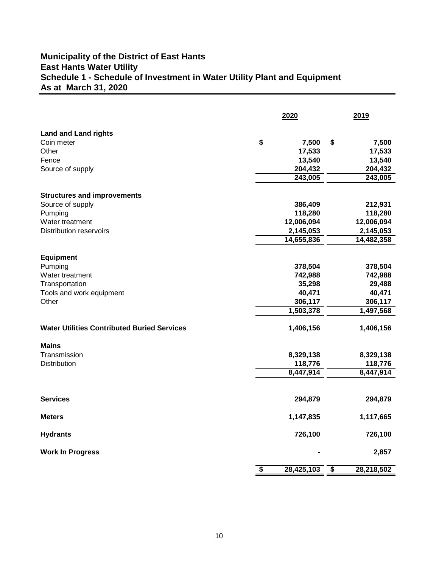### **Schedule 1 - Schedule of Investment in Water Utility Plant and Equipment Municipality of the District of East Hants East Hants Water Utility As at March 31, 2020**

| <b>Land and Land rights</b><br>\$<br>7,500<br>\$<br>Coin meter<br>17,533<br>Other<br>13,540<br>Fence<br>Source of supply<br>204,432<br>243,005<br><b>Structures and improvements</b><br>Source of supply<br>386,409<br>212,931<br>118,280<br>118,280<br>Pumping<br>12,006,094<br>12,006,094<br>Water treatment<br><b>Distribution reservoirs</b><br>2,145,053<br>2,145,053<br>14,655,836<br>14,482,358<br><b>Equipment</b><br>378,504<br>Pumping<br>742,988<br>Water treatment<br>35,298<br>Transportation<br>40,471<br>Tools and work equipment<br>Other<br>306,117<br>1,503,378<br><b>Water Utilities Contributed Buried Services</b><br>1,406,156<br><b>Mains</b><br>Transmission<br>8,329,138<br><b>Distribution</b><br>118,776<br>8,447,914 |            |
|--------------------------------------------------------------------------------------------------------------------------------------------------------------------------------------------------------------------------------------------------------------------------------------------------------------------------------------------------------------------------------------------------------------------------------------------------------------------------------------------------------------------------------------------------------------------------------------------------------------------------------------------------------------------------------------------------------------------------------------------------|------------|
|                                                                                                                                                                                                                                                                                                                                                                                                                                                                                                                                                                                                                                                                                                                                                  |            |
|                                                                                                                                                                                                                                                                                                                                                                                                                                                                                                                                                                                                                                                                                                                                                  | 7,500      |
|                                                                                                                                                                                                                                                                                                                                                                                                                                                                                                                                                                                                                                                                                                                                                  | 17,533     |
|                                                                                                                                                                                                                                                                                                                                                                                                                                                                                                                                                                                                                                                                                                                                                  | 13,540     |
|                                                                                                                                                                                                                                                                                                                                                                                                                                                                                                                                                                                                                                                                                                                                                  | 204,432    |
|                                                                                                                                                                                                                                                                                                                                                                                                                                                                                                                                                                                                                                                                                                                                                  | 243,005    |
|                                                                                                                                                                                                                                                                                                                                                                                                                                                                                                                                                                                                                                                                                                                                                  |            |
|                                                                                                                                                                                                                                                                                                                                                                                                                                                                                                                                                                                                                                                                                                                                                  |            |
|                                                                                                                                                                                                                                                                                                                                                                                                                                                                                                                                                                                                                                                                                                                                                  |            |
|                                                                                                                                                                                                                                                                                                                                                                                                                                                                                                                                                                                                                                                                                                                                                  |            |
|                                                                                                                                                                                                                                                                                                                                                                                                                                                                                                                                                                                                                                                                                                                                                  |            |
|                                                                                                                                                                                                                                                                                                                                                                                                                                                                                                                                                                                                                                                                                                                                                  |            |
|                                                                                                                                                                                                                                                                                                                                                                                                                                                                                                                                                                                                                                                                                                                                                  |            |
|                                                                                                                                                                                                                                                                                                                                                                                                                                                                                                                                                                                                                                                                                                                                                  |            |
|                                                                                                                                                                                                                                                                                                                                                                                                                                                                                                                                                                                                                                                                                                                                                  | 378,504    |
|                                                                                                                                                                                                                                                                                                                                                                                                                                                                                                                                                                                                                                                                                                                                                  | 742,988    |
|                                                                                                                                                                                                                                                                                                                                                                                                                                                                                                                                                                                                                                                                                                                                                  | 29,488     |
|                                                                                                                                                                                                                                                                                                                                                                                                                                                                                                                                                                                                                                                                                                                                                  | 40,471     |
|                                                                                                                                                                                                                                                                                                                                                                                                                                                                                                                                                                                                                                                                                                                                                  | 306,117    |
|                                                                                                                                                                                                                                                                                                                                                                                                                                                                                                                                                                                                                                                                                                                                                  | 1,497,568  |
|                                                                                                                                                                                                                                                                                                                                                                                                                                                                                                                                                                                                                                                                                                                                                  |            |
|                                                                                                                                                                                                                                                                                                                                                                                                                                                                                                                                                                                                                                                                                                                                                  | 1,406,156  |
|                                                                                                                                                                                                                                                                                                                                                                                                                                                                                                                                                                                                                                                                                                                                                  |            |
|                                                                                                                                                                                                                                                                                                                                                                                                                                                                                                                                                                                                                                                                                                                                                  | 8,329,138  |
|                                                                                                                                                                                                                                                                                                                                                                                                                                                                                                                                                                                                                                                                                                                                                  | 118,776    |
|                                                                                                                                                                                                                                                                                                                                                                                                                                                                                                                                                                                                                                                                                                                                                  | 8,447,914  |
|                                                                                                                                                                                                                                                                                                                                                                                                                                                                                                                                                                                                                                                                                                                                                  |            |
| <b>Services</b><br>294,879                                                                                                                                                                                                                                                                                                                                                                                                                                                                                                                                                                                                                                                                                                                       | 294,879    |
| 1,147,835<br><b>Meters</b>                                                                                                                                                                                                                                                                                                                                                                                                                                                                                                                                                                                                                                                                                                                       | 1,117,665  |
| <b>Hydrants</b><br>726,100                                                                                                                                                                                                                                                                                                                                                                                                                                                                                                                                                                                                                                                                                                                       | 726,100    |
| <b>Work In Progress</b>                                                                                                                                                                                                                                                                                                                                                                                                                                                                                                                                                                                                                                                                                                                          | 2,857      |
| $\overline{\boldsymbol{\mathsf{s}}}$<br>28,425,103<br>\$                                                                                                                                                                                                                                                                                                                                                                                                                                                                                                                                                                                                                                                                                         | 28,218,502 |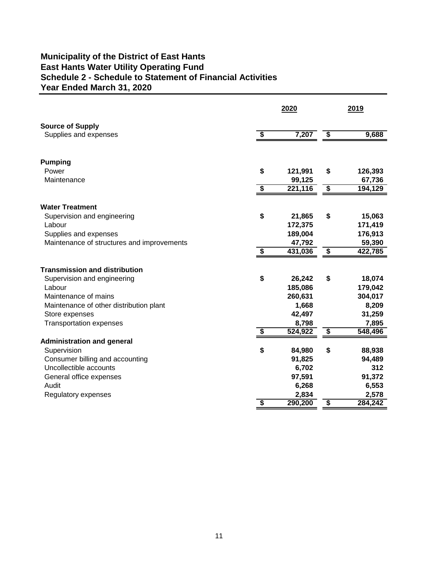### **Municipality of the District of East Hants East Hants Water Utility Operating Fund Schedule 2 - Schedule to Statement of Financial Activities Year Ended March 31, 2020**

|                                            |                                      | 2020                 | 2019                                 |         |
|--------------------------------------------|--------------------------------------|----------------------|--------------------------------------|---------|
| <b>Source of Supply</b>                    |                                      |                      |                                      |         |
| Supplies and expenses                      |                                      | 7,207                | $\sqrt{3}$                           | 9,688   |
| <b>Pumping</b>                             |                                      |                      |                                      |         |
| Power                                      | \$                                   | 121,991              | \$                                   | 126,393 |
| Maintenance                                |                                      | 99,125               |                                      | 67,736  |
|                                            | \$                                   | $\overline{221,}116$ | \$                                   | 194,129 |
| <b>Water Treatment</b>                     |                                      |                      |                                      |         |
| Supervision and engineering                | \$                                   | 21,865               | \$                                   | 15,063  |
| Labour                                     |                                      | 172,375              |                                      | 171,419 |
| Supplies and expenses                      |                                      | 189,004              |                                      | 176,913 |
| Maintenance of structures and improvements |                                      | 47,792               |                                      | 59,390  |
|                                            | \$                                   | 431,036              | \$                                   | 422,785 |
| <b>Transmission and distribution</b>       |                                      |                      |                                      |         |
| Supervision and engineering                | \$                                   | 26,242               | \$                                   | 18,074  |
| Labour                                     |                                      | 185,086              |                                      | 179,042 |
| Maintenance of mains                       |                                      | 260,631              |                                      | 304,017 |
| Maintenance of other distribution plant    |                                      | 1,668                |                                      | 8,209   |
| Store expenses                             |                                      | 42,497               |                                      | 31,259  |
| <b>Transportation expenses</b>             |                                      | 8,798                |                                      | 7,895   |
|                                            | \$                                   | 524,922              | \$                                   | 548,496 |
| <b>Administration and general</b>          |                                      |                      |                                      |         |
| Supervision                                | \$                                   | 84,980               | \$                                   | 88,938  |
| Consumer billing and accounting            |                                      | 91,825               |                                      | 94,489  |
| Uncollectible accounts                     |                                      | 6,702                |                                      | 312     |
| General office expenses                    |                                      | 97,591               |                                      | 91,372  |
| Audit                                      |                                      | 6,268                |                                      | 6,553   |
| Regulatory expenses                        |                                      | 2,834                |                                      | 2,578   |
|                                            | $\overline{\boldsymbol{\mathsf{s}}}$ | 290,200              | $\overline{\boldsymbol{\mathsf{s}}}$ | 284,242 |